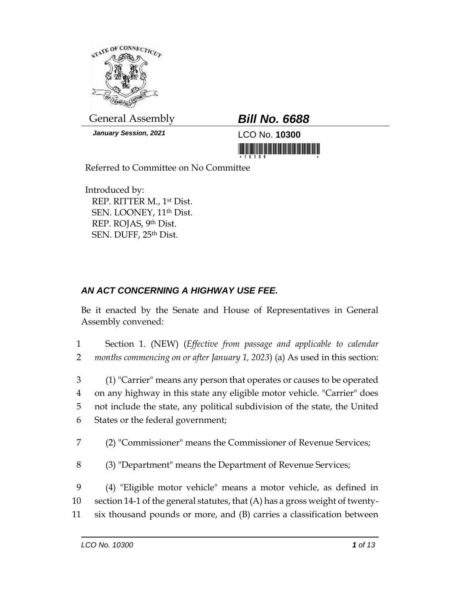

General Assembly *Bill No. 6688*

*January Session, 2021* LCO No. **10300**

<u> III de la contrada de la contrada de la contrada de la con</u>

Referred to Committee on No Committee

Introduced by: REP. RITTER M., 1st Dist. SEN. LOONEY, 11th Dist. REP. ROJAS, 9th Dist. SEN. DUFF, 25th Dist.

## *AN ACT CONCERNING A HIGHWAY USE FEE.*

Be it enacted by the Senate and House of Representatives in General Assembly convened:

1 Section 1. (NEW) (*Effective from passage and applicable to calendar*  2 *months commencing on or after January 1, 2023*) (a) As used in this section:

 (1) "Carrier" means any person that operates or causes to be operated on any highway in this state any eligible motor vehicle. "Carrier" does not include the state, any political subdivision of the state, the United States or the federal government;

- 7 (2) "Commissioner" means the Commissioner of Revenue Services;
- 8 (3) "Department" means the Department of Revenue Services;

9 (4) "Eligible motor vehicle" means a motor vehicle, as defined in 10 section 14-1 of the general statutes, that (A) has a gross weight of twenty-

11 six thousand pounds or more, and (B) carries a classification between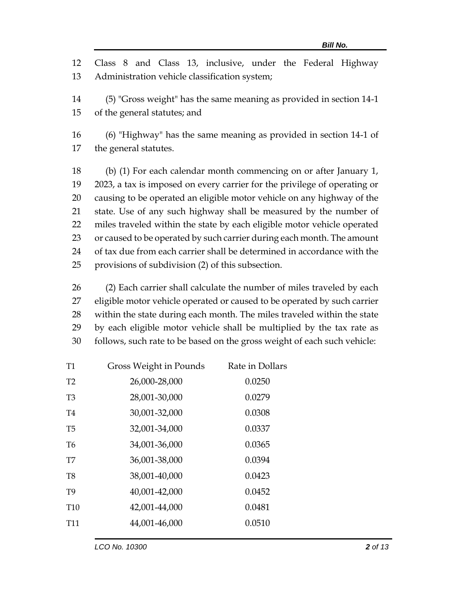12 Class 8 and Class 13, inclusive, under the Federal Highway 13 Administration vehicle classification system;

14 (5) "Gross weight" has the same meaning as provided in section 14-1 15 of the general statutes; and

16 (6) "Highway" has the same meaning as provided in section 14-1 of 17 the general statutes.

 (b) (1) For each calendar month commencing on or after January 1, 2023, a tax is imposed on every carrier for the privilege of operating or causing to be operated an eligible motor vehicle on any highway of the state. Use of any such highway shall be measured by the number of miles traveled within the state by each eligible motor vehicle operated 23 or caused to be operated by such carrier during each month. The amount of tax due from each carrier shall be determined in accordance with the provisions of subdivision (2) of this subsection.

 (2) Each carrier shall calculate the number of miles traveled by each eligible motor vehicle operated or caused to be operated by such carrier within the state during each month. The miles traveled within the state by each eligible motor vehicle shall be multiplied by the tax rate as follows, such rate to be based on the gross weight of each such vehicle:

| T1              | Gross Weight in Pounds | Rate in Dollars |
|-----------------|------------------------|-----------------|
| T <sub>2</sub>  | 26,000-28,000          | 0.0250          |
| T3              | 28,001-30,000          | 0.0279          |
| T4              | 30,001-32,000          | 0.0308          |
| T5              | 32,001-34,000          | 0.0337          |
| T6              | 34,001-36,000          | 0.0365          |
| T7              | 36,001-38,000          | 0.0394          |
| T8              | 38,001-40,000          | 0.0423          |
| T9              | 40,001-42,000          | 0.0452          |
| T <sub>10</sub> | 42,001-44,000          | 0.0481          |
| T11             | 44,001-46,000          | 0.0510          |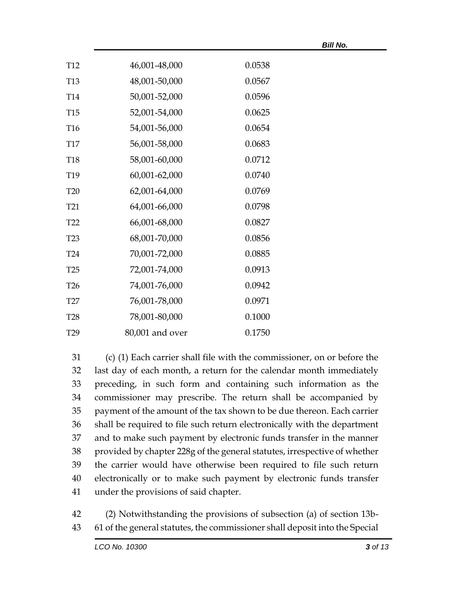|                 |                 |        | <b>Bill No.</b> |
|-----------------|-----------------|--------|-----------------|
| <b>T12</b>      | 46,001-48,000   | 0.0538 |                 |
| <b>T13</b>      | 48,001-50,000   | 0.0567 |                 |
| <b>T14</b>      | 50,001-52,000   | 0.0596 |                 |
| <b>T15</b>      | 52,001-54,000   | 0.0625 |                 |
| T <sub>16</sub> | 54,001-56,000   | 0.0654 |                 |
| <b>T17</b>      | 56,001-58,000   | 0.0683 |                 |
| <b>T18</b>      | 58,001-60,000   | 0.0712 |                 |
| T19             | 60,001-62,000   | 0.0740 |                 |
| <b>T20</b>      | 62,001-64,000   | 0.0769 |                 |
| T <sub>21</sub> | 64,001-66,000   | 0.0798 |                 |
| T <sub>22</sub> | 66,001-68,000   | 0.0827 |                 |
| <b>T23</b>      | 68,001-70,000   | 0.0856 |                 |
| <b>T24</b>      | 70,001-72,000   | 0.0885 |                 |
| <b>T25</b>      | 72,001-74,000   | 0.0913 |                 |
| T <sub>26</sub> | 74,001-76,000   | 0.0942 |                 |
| <b>T27</b>      | 76,001-78,000   | 0.0971 |                 |
| <b>T28</b>      | 78,001-80,000   | 0.1000 |                 |
| T <sub>29</sub> | 80,001 and over | 0.1750 |                 |

 (c) (1) Each carrier shall file with the commissioner, on or before the last day of each month, a return for the calendar month immediately preceding, in such form and containing such information as the commissioner may prescribe. The return shall be accompanied by payment of the amount of the tax shown to be due thereon. Each carrier shall be required to file such return electronically with the department and to make such payment by electronic funds transfer in the manner provided by chapter 228g of the general statutes, irrespective of whether the carrier would have otherwise been required to file such return electronically or to make such payment by electronic funds transfer under the provisions of said chapter.

42 (2) Notwithstanding the provisions of subsection (a) of section 13b-43 61 of the general statutes, the commissioner shall deposit into the Special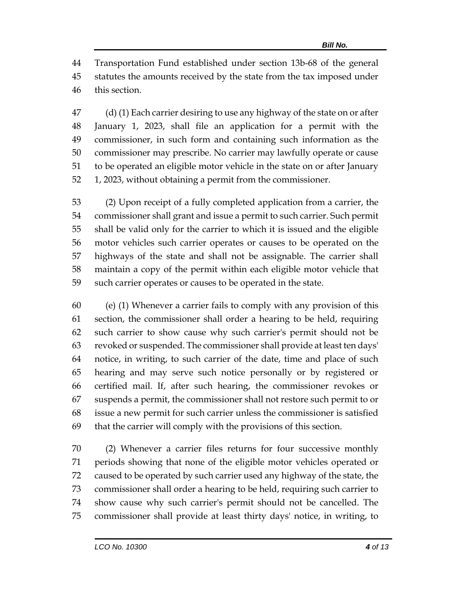Transportation Fund established under section 13b-68 of the general statutes the amounts received by the state from the tax imposed under this section.

 (d) (1) Each carrier desiring to use any highway of the state on or after January 1, 2023, shall file an application for a permit with the commissioner, in such form and containing such information as the commissioner may prescribe. No carrier may lawfully operate or cause to be operated an eligible motor vehicle in the state on or after January 1, 2023, without obtaining a permit from the commissioner.

 (2) Upon receipt of a fully completed application from a carrier, the commissioner shall grant and issue a permit to such carrier. Such permit shall be valid only for the carrier to which it is issued and the eligible motor vehicles such carrier operates or causes to be operated on the highways of the state and shall not be assignable. The carrier shall maintain a copy of the permit within each eligible motor vehicle that such carrier operates or causes to be operated in the state.

 (e) (1) Whenever a carrier fails to comply with any provision of this section, the commissioner shall order a hearing to be held, requiring such carrier to show cause why such carrier's permit should not be revoked or suspended. The commissioner shall provide at least ten days' notice, in writing, to such carrier of the date, time and place of such hearing and may serve such notice personally or by registered or certified mail. If, after such hearing, the commissioner revokes or suspends a permit, the commissioner shall not restore such permit to or issue a new permit for such carrier unless the commissioner is satisfied that the carrier will comply with the provisions of this section.

 (2) Whenever a carrier files returns for four successive monthly periods showing that none of the eligible motor vehicles operated or caused to be operated by such carrier used any highway of the state, the commissioner shall order a hearing to be held, requiring such carrier to show cause why such carrier's permit should not be cancelled. The commissioner shall provide at least thirty days' notice, in writing, to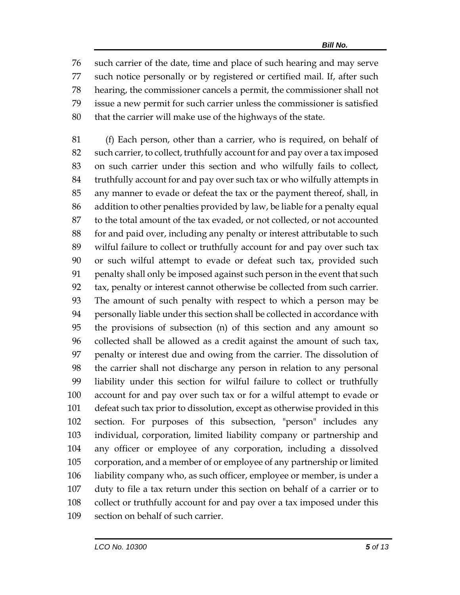such carrier of the date, time and place of such hearing and may serve such notice personally or by registered or certified mail. If, after such hearing, the commissioner cancels a permit, the commissioner shall not issue a new permit for such carrier unless the commissioner is satisfied that the carrier will make use of the highways of the state.

 (f) Each person, other than a carrier, who is required, on behalf of such carrier, to collect, truthfully account for and pay over a tax imposed on such carrier under this section and who wilfully fails to collect, truthfully account for and pay over such tax or who wilfully attempts in any manner to evade or defeat the tax or the payment thereof, shall, in addition to other penalties provided by law, be liable for a penalty equal to the total amount of the tax evaded, or not collected, or not accounted for and paid over, including any penalty or interest attributable to such wilful failure to collect or truthfully account for and pay over such tax or such wilful attempt to evade or defeat such tax, provided such penalty shall only be imposed against such person in the event that such tax, penalty or interest cannot otherwise be collected from such carrier. The amount of such penalty with respect to which a person may be personally liable under this section shall be collected in accordance with the provisions of subsection (n) of this section and any amount so collected shall be allowed as a credit against the amount of such tax, penalty or interest due and owing from the carrier. The dissolution of the carrier shall not discharge any person in relation to any personal liability under this section for wilful failure to collect or truthfully account for and pay over such tax or for a wilful attempt to evade or defeat such tax prior to dissolution, except as otherwise provided in this section. For purposes of this subsection, "person" includes any individual, corporation, limited liability company or partnership and any officer or employee of any corporation, including a dissolved corporation, and a member of or employee of any partnership or limited liability company who, as such officer, employee or member, is under a duty to file a tax return under this section on behalf of a carrier or to collect or truthfully account for and pay over a tax imposed under this section on behalf of such carrier.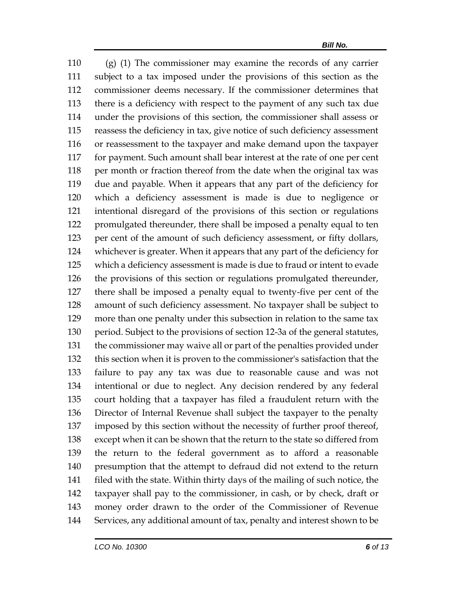(g) (1) The commissioner may examine the records of any carrier subject to a tax imposed under the provisions of this section as the commissioner deems necessary. If the commissioner determines that there is a deficiency with respect to the payment of any such tax due under the provisions of this section, the commissioner shall assess or reassess the deficiency in tax, give notice of such deficiency assessment or reassessment to the taxpayer and make demand upon the taxpayer for payment. Such amount shall bear interest at the rate of one per cent 118 per month or fraction thereof from the date when the original tax was due and payable. When it appears that any part of the deficiency for which a deficiency assessment is made is due to negligence or intentional disregard of the provisions of this section or regulations promulgated thereunder, there shall be imposed a penalty equal to ten per cent of the amount of such deficiency assessment, or fifty dollars, whichever is greater. When it appears that any part of the deficiency for which a deficiency assessment is made is due to fraud or intent to evade the provisions of this section or regulations promulgated thereunder, there shall be imposed a penalty equal to twenty-five per cent of the amount of such deficiency assessment. No taxpayer shall be subject to more than one penalty under this subsection in relation to the same tax period. Subject to the provisions of section 12-3a of the general statutes, the commissioner may waive all or part of the penalties provided under this section when it is proven to the commissioner's satisfaction that the failure to pay any tax was due to reasonable cause and was not intentional or due to neglect. Any decision rendered by any federal court holding that a taxpayer has filed a fraudulent return with the Director of Internal Revenue shall subject the taxpayer to the penalty imposed by this section without the necessity of further proof thereof, except when it can be shown that the return to the state so differed from the return to the federal government as to afford a reasonable presumption that the attempt to defraud did not extend to the return filed with the state. Within thirty days of the mailing of such notice, the taxpayer shall pay to the commissioner, in cash, or by check, draft or money order drawn to the order of the Commissioner of Revenue Services, any additional amount of tax, penalty and interest shown to be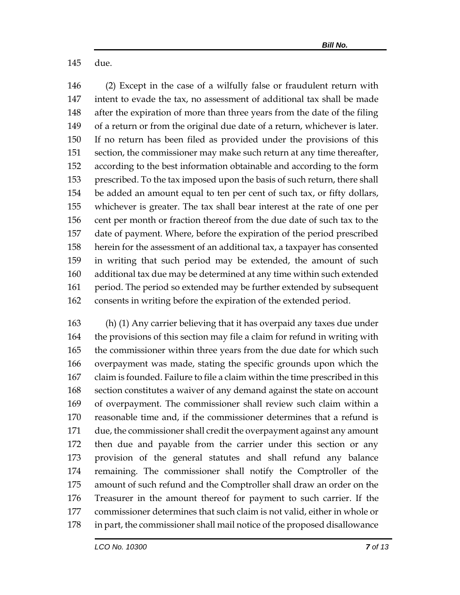due.

 (2) Except in the case of a wilfully false or fraudulent return with intent to evade the tax, no assessment of additional tax shall be made after the expiration of more than three years from the date of the filing of a return or from the original due date of a return, whichever is later. If no return has been filed as provided under the provisions of this section, the commissioner may make such return at any time thereafter, according to the best information obtainable and according to the form prescribed. To the tax imposed upon the basis of such return, there shall be added an amount equal to ten per cent of such tax, or fifty dollars, whichever is greater. The tax shall bear interest at the rate of one per cent per month or fraction thereof from the due date of such tax to the date of payment. Where, before the expiration of the period prescribed herein for the assessment of an additional tax, a taxpayer has consented in writing that such period may be extended, the amount of such additional tax due may be determined at any time within such extended period. The period so extended may be further extended by subsequent consents in writing before the expiration of the extended period.

 (h) (1) Any carrier believing that it has overpaid any taxes due under the provisions of this section may file a claim for refund in writing with the commissioner within three years from the due date for which such overpayment was made, stating the specific grounds upon which the claim is founded. Failure to file a claim within the time prescribed in this section constitutes a waiver of any demand against the state on account of overpayment. The commissioner shall review such claim within a reasonable time and, if the commissioner determines that a refund is due, the commissioner shall credit the overpayment against any amount then due and payable from the carrier under this section or any provision of the general statutes and shall refund any balance remaining. The commissioner shall notify the Comptroller of the amount of such refund and the Comptroller shall draw an order on the Treasurer in the amount thereof for payment to such carrier. If the commissioner determines that such claim is not valid, either in whole or in part, the commissioner shall mail notice of the proposed disallowance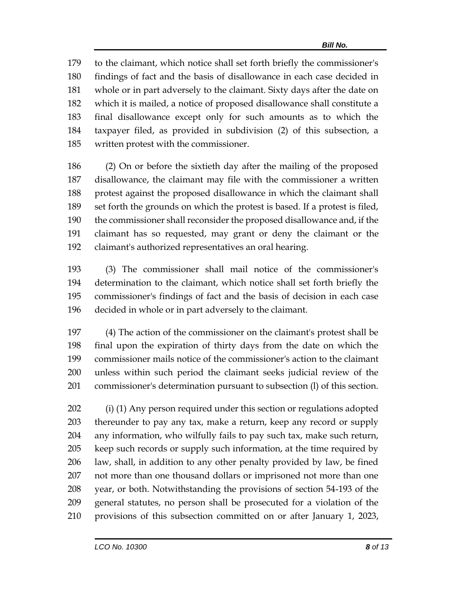to the claimant, which notice shall set forth briefly the commissioner's findings of fact and the basis of disallowance in each case decided in whole or in part adversely to the claimant. Sixty days after the date on which it is mailed, a notice of proposed disallowance shall constitute a final disallowance except only for such amounts as to which the taxpayer filed, as provided in subdivision (2) of this subsection, a written protest with the commissioner.

 (2) On or before the sixtieth day after the mailing of the proposed disallowance, the claimant may file with the commissioner a written protest against the proposed disallowance in which the claimant shall set forth the grounds on which the protest is based. If a protest is filed, the commissioner shall reconsider the proposed disallowance and, if the claimant has so requested, may grant or deny the claimant or the claimant's authorized representatives an oral hearing.

 (3) The commissioner shall mail notice of the commissioner's determination to the claimant, which notice shall set forth briefly the commissioner's findings of fact and the basis of decision in each case decided in whole or in part adversely to the claimant.

 (4) The action of the commissioner on the claimant's protest shall be final upon the expiration of thirty days from the date on which the commissioner mails notice of the commissioner's action to the claimant unless within such period the claimant seeks judicial review of the commissioner's determination pursuant to subsection (l) of this section.

 (i) (1) Any person required under this section or regulations adopted thereunder to pay any tax, make a return, keep any record or supply any information, who wilfully fails to pay such tax, make such return, keep such records or supply such information, at the time required by law, shall, in addition to any other penalty provided by law, be fined not more than one thousand dollars or imprisoned not more than one year, or both. Notwithstanding the provisions of section 54-193 of the general statutes, no person shall be prosecuted for a violation of the provisions of this subsection committed on or after January 1, 2023,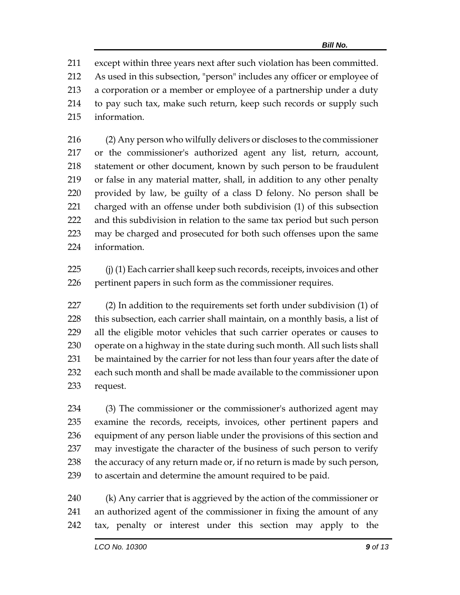except within three years next after such violation has been committed. As used in this subsection, "person" includes any officer or employee of a corporation or a member or employee of a partnership under a duty to pay such tax, make such return, keep such records or supply such information.

 (2) Any person who wilfully delivers or discloses to the commissioner or the commissioner's authorized agent any list, return, account, statement or other document, known by such person to be fraudulent or false in any material matter, shall, in addition to any other penalty provided by law, be guilty of a class D felony. No person shall be charged with an offense under both subdivision (1) of this subsection and this subdivision in relation to the same tax period but such person may be charged and prosecuted for both such offenses upon the same information.

 (j) (1) Each carrier shall keep such records, receipts, invoices and other pertinent papers in such form as the commissioner requires.

 (2) In addition to the requirements set forth under subdivision (1) of this subsection, each carrier shall maintain, on a monthly basis, a list of all the eligible motor vehicles that such carrier operates or causes to operate on a highway in the state during such month. All such lists shall be maintained by the carrier for not less than four years after the date of each such month and shall be made available to the commissioner upon request.

 (3) The commissioner or the commissioner's authorized agent may examine the records, receipts, invoices, other pertinent papers and equipment of any person liable under the provisions of this section and may investigate the character of the business of such person to verify 238 the accuracy of any return made or, if no return is made by such person, to ascertain and determine the amount required to be paid.

 (k) Any carrier that is aggrieved by the action of the commissioner or an authorized agent of the commissioner in fixing the amount of any tax, penalty or interest under this section may apply to the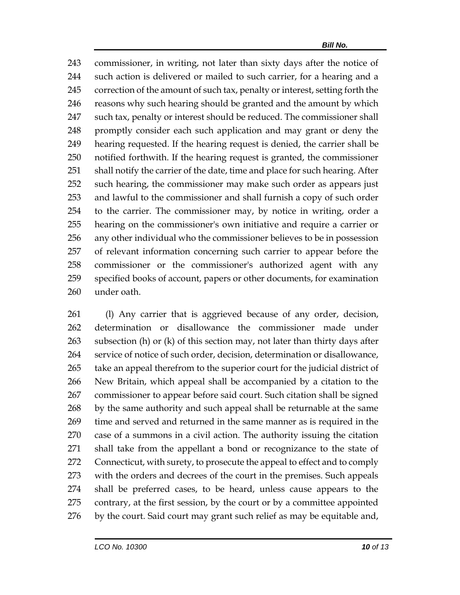commissioner, in writing, not later than sixty days after the notice of such action is delivered or mailed to such carrier, for a hearing and a 245 correction of the amount of such tax, penalty or interest, setting forth the 246 reasons why such hearing should be granted and the amount by which 247 such tax, penalty or interest should be reduced. The commissioner shall promptly consider each such application and may grant or deny the hearing requested. If the hearing request is denied, the carrier shall be notified forthwith. If the hearing request is granted, the commissioner shall notify the carrier of the date, time and place for such hearing. After such hearing, the commissioner may make such order as appears just and lawful to the commissioner and shall furnish a copy of such order to the carrier. The commissioner may, by notice in writing, order a hearing on the commissioner's own initiative and require a carrier or any other individual who the commissioner believes to be in possession of relevant information concerning such carrier to appear before the commissioner or the commissioner's authorized agent with any specified books of account, papers or other documents, for examination under oath.

261 (I) Any carrier that is aggrieved because of any order, decision, determination or disallowance the commissioner made under subsection (h) or (k) of this section may, not later than thirty days after service of notice of such order, decision, determination or disallowance, take an appeal therefrom to the superior court for the judicial district of New Britain, which appeal shall be accompanied by a citation to the commissioner to appear before said court. Such citation shall be signed 268 by the same authority and such appeal shall be returnable at the same time and served and returned in the same manner as is required in the case of a summons in a civil action. The authority issuing the citation shall take from the appellant a bond or recognizance to the state of Connecticut, with surety, to prosecute the appeal to effect and to comply with the orders and decrees of the court in the premises. Such appeals shall be preferred cases, to be heard, unless cause appears to the contrary, at the first session, by the court or by a committee appointed 276 by the court. Said court may grant such relief as may be equitable and,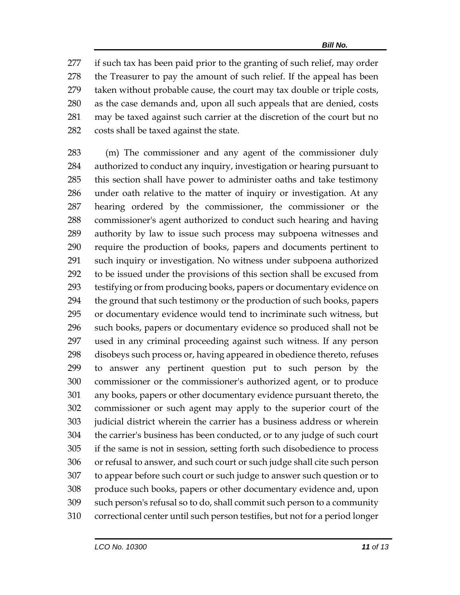if such tax has been paid prior to the granting of such relief, may order the Treasurer to pay the amount of such relief. If the appeal has been taken without probable cause, the court may tax double or triple costs, as the case demands and, upon all such appeals that are denied, costs may be taxed against such carrier at the discretion of the court but no costs shall be taxed against the state.

 (m) The commissioner and any agent of the commissioner duly authorized to conduct any inquiry, investigation or hearing pursuant to this section shall have power to administer oaths and take testimony under oath relative to the matter of inquiry or investigation. At any hearing ordered by the commissioner, the commissioner or the commissioner's agent authorized to conduct such hearing and having authority by law to issue such process may subpoena witnesses and require the production of books, papers and documents pertinent to such inquiry or investigation. No witness under subpoena authorized to be issued under the provisions of this section shall be excused from testifying or from producing books, papers or documentary evidence on the ground that such testimony or the production of such books, papers or documentary evidence would tend to incriminate such witness, but such books, papers or documentary evidence so produced shall not be used in any criminal proceeding against such witness. If any person disobeys such process or, having appeared in obedience thereto, refuses to answer any pertinent question put to such person by the commissioner or the commissioner's authorized agent, or to produce any books, papers or other documentary evidence pursuant thereto, the commissioner or such agent may apply to the superior court of the judicial district wherein the carrier has a business address or wherein the carrier's business has been conducted, or to any judge of such court if the same is not in session, setting forth such disobedience to process or refusal to answer, and such court or such judge shall cite such person to appear before such court or such judge to answer such question or to produce such books, papers or other documentary evidence and, upon such person's refusal so to do, shall commit such person to a community correctional center until such person testifies, but not for a period longer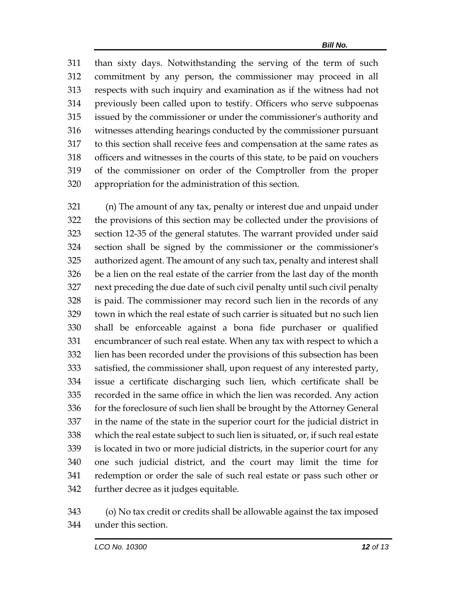than sixty days. Notwithstanding the serving of the term of such commitment by any person, the commissioner may proceed in all respects with such inquiry and examination as if the witness had not previously been called upon to testify. Officers who serve subpoenas issued by the commissioner or under the commissioner's authority and witnesses attending hearings conducted by the commissioner pursuant to this section shall receive fees and compensation at the same rates as officers and witnesses in the courts of this state, to be paid on vouchers of the commissioner on order of the Comptroller from the proper appropriation for the administration of this section.

 (n) The amount of any tax, penalty or interest due and unpaid under the provisions of this section may be collected under the provisions of section 12-35 of the general statutes. The warrant provided under said section shall be signed by the commissioner or the commissioner's authorized agent. The amount of any such tax, penalty and interest shall be a lien on the real estate of the carrier from the last day of the month next preceding the due date of such civil penalty until such civil penalty is paid. The commissioner may record such lien in the records of any town in which the real estate of such carrier is situated but no such lien shall be enforceable against a bona fide purchaser or qualified encumbrancer of such real estate. When any tax with respect to which a lien has been recorded under the provisions of this subsection has been satisfied, the commissioner shall, upon request of any interested party, issue a certificate discharging such lien, which certificate shall be recorded in the same office in which the lien was recorded. Any action 336 for the foreclosure of such lien shall be brought by the Attorney General in the name of the state in the superior court for the judicial district in which the real estate subject to such lien is situated, or, if such real estate is located in two or more judicial districts, in the superior court for any one such judicial district, and the court may limit the time for redemption or order the sale of such real estate or pass such other or further decree as it judges equitable.

 (o) No tax credit or credits shall be allowable against the tax imposed under this section.